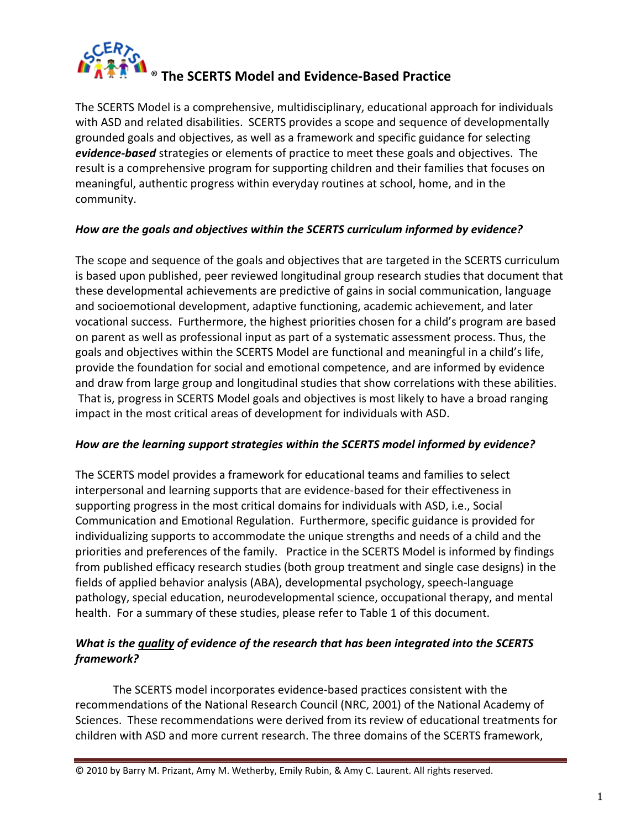

The SCERTS Model is a comprehensive, multidisciplinary, educational approach for individuals with ASD and related disabilities. SCERTS provides a scope and sequence of developmentally grounded goals and objectives, as well as a framework and specific guidance for selecting *evidence‐based* strategies or elements of practice to meet these goals and objectives. The result is a comprehensive program for supporting children and their families that focuses on meaningful, authentic progress within everyday routines at school, home, and in the community.

### *How are the goals and objectives within the SCERTS curriculum informed by evidence?*

The scope and sequence of the goals and objectives that are targeted in the SCERTS curriculum is based upon published, peer reviewed longitudinal group research studies that document that these developmental achievements are predictive of gains in social communication, language and socioemotional development, adaptive functioning, academic achievement, and later vocational success. Furthermore, the highest priorities chosen for a child's program are based on parent as well as professional input as part of a systematic assessment process. Thus, the goals and objectives within the SCERTS Model are functional and meaningful in a child's life, provide the foundation for social and emotional competence, and are informed by evidence and draw from large group and longitudinal studies that show correlations with these abilities. That is, progress in SCERTS Model goals and objectives is most likely to have a broad ranging impact in the most critical areas of development for individuals with ASD.

#### *How are the learning support strategies within the SCERTS model informed by evidence?*

The SCERTS model provides a framework for educational teams and families to select interpersonal and learning supports that are evidence‐based for their effectiveness in supporting progress in the most critical domains for individuals with ASD, i.e., Social Communication and Emotional Regulation. Furthermore, specific guidance is provided for individualizing supports to accommodate the unique strengths and needs of a child and the priorities and preferences of the family. Practice in the SCERTS Model is informed by findings from published efficacy research studies (both group treatment and single case designs) in the fields of applied behavior analysis (ABA), developmental psychology, speech‐language pathology, special education, neurodevelopmental science, occupational therapy, and mental health. For a summary of these studies, please refer to Table 1 of this document.

# *What is the quality of evidence of the research that has been integrated into the SCERTS framework?*

The SCERTS model incorporates evidence‐based practices consistent with the recommendations of the National Research Council (NRC, 2001) of the National Academy of Sciences. These recommendations were derived from its review of educational treatments for children with ASD and more current research. The three domains of the SCERTS framework,

© 2010 by Barry M. Prizant, Amy M. Wetherby, Emily Rubin, & Amy C. Laurent. All rights reserved.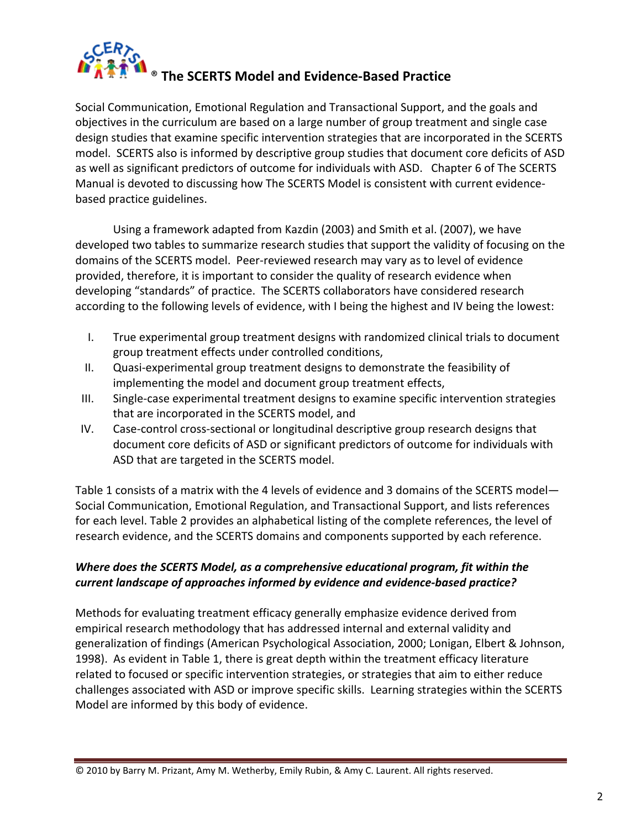

Social Communication, Emotional Regulation and Transactional Support, and the goals and objectives in the curriculum are based on a large number of group treatment and single case design studies that examine specific intervention strategies that are incorporated in the SCERTS model. SCERTS also is informed by descriptive group studies that document core deficits of ASD as well as significant predictors of outcome for individuals with ASD. Chapter 6 of The SCERTS Manual is devoted to discussing how The SCERTS Model is consistent with current evidence‐ based practice guidelines.

Using a framework adapted from Kazdin (2003) and Smith et al. (2007), we have developed two tables to summarize research studies that support the validity of focusing on the domains of the SCERTS model. Peer‐reviewed research may vary as to level of evidence provided, therefore, it is important to consider the quality of research evidence when developing "standards" of practice. The SCERTS collaborators have considered research according to the following levels of evidence, with I being the highest and IV being the lowest:

- I. True experimental group treatment designs with randomized clinical trials to document group treatment effects under controlled conditions,
- II. Quasi‐experimental group treatment designs to demonstrate the feasibility of implementing the model and document group treatment effects,
- III. Single‐case experimental treatment designs to examine specific intervention strategies that are incorporated in the SCERTS model, and
- IV. Case-control cross-sectional or longitudinal descriptive group research designs that document core deficits of ASD or significant predictors of outcome for individuals with ASD that are targeted in the SCERTS model.

Table 1 consists of a matrix with the 4 levels of evidence and 3 domains of the SCERTS model— Social Communication, Emotional Regulation, and Transactional Support, and lists references for each level. Table 2 provides an alphabetical listing of the complete references, the level of research evidence, and the SCERTS domains and components supported by each reference.

# *Where does the SCERTS Model, as a comprehensive educational program, fit within the current landscape of approaches informed by evidence and evidence‐based practice?*

Methods for evaluating treatment efficacy generally emphasize evidence derived from empirical research methodology that has addressed internal and external validity and generalization of findings (American Psychological Association, 2000; Lonigan, Elbert & Johnson, 1998). As evident in Table 1, there is great depth within the treatment efficacy literature related to focused or specific intervention strategies, or strategies that aim to either reduce challenges associated with ASD or improve specific skills. Learning strategies within the SCERTS Model are informed by this body of evidence.

<sup>©</sup> 2010 by Barry M. Prizant, Amy M. Wetherby, Emily Rubin, & Amy C. Laurent. All rights reserved.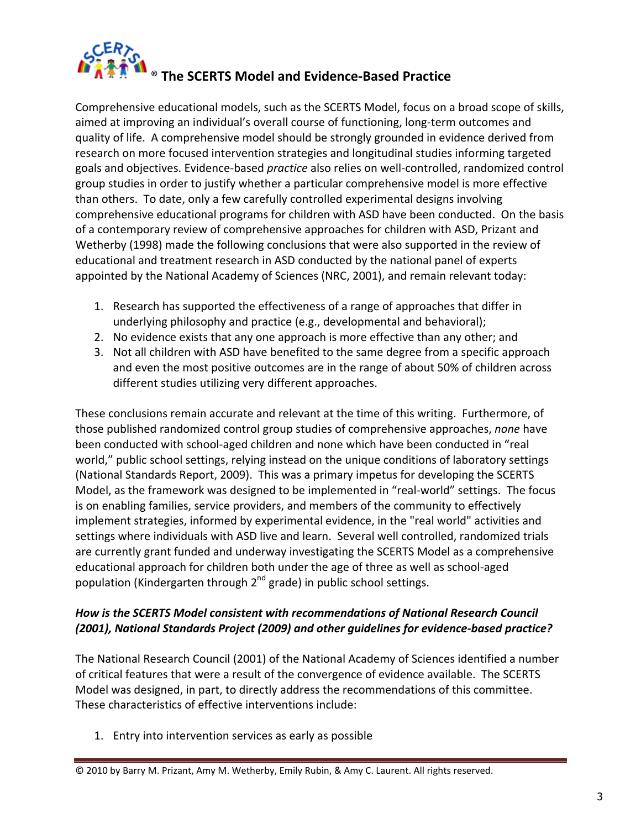

Comprehensive educational models, such as the SCERTS Model, focus on a broad scope of skills, aimed at improving an individual's overall course of functioning, long-term outcomes and quality of life. A comprehensive model should be strongly grounded in evidence derived from research on more focused intervention strategies and longitudinal studies informing targeted goals and objectives. Evidence‐based *practice* also relies on well‐controlled, randomized control group studies in order to justify whether a particular comprehensive model is more effective than others. To date, only a few carefully controlled experimental designs involving comprehensive educational programs for children with ASD have been conducted. On the basis of a contemporary review of comprehensive approaches for children with ASD, Prizant and Wetherby (1998) made the following conclusions that were also supported in the review of educational and treatment research in ASD conducted by the national panel of experts appointed by the National Academy of Sciences (NRC, 2001), and remain relevant today:

- 1. Research has supported the effectiveness of a range of approaches that differ in underlying philosophy and practice (e.g., developmental and behavioral);
- 2. No evidence exists that any one approach is more effective than any other; and
- 3. Not all children with ASD have benefited to the same degree from a specific approach and even the most positive outcomes are in the range of about 50% of children across different studies utilizing very different approaches.

These conclusions remain accurate and relevant at the time of this writing. Furthermore, of those published randomized control group studies of comprehensive approaches, *none* have been conducted with school‐aged children and none which have been conducted in "real world," public school settings, relying instead on the unique conditions of laboratory settings (National Standards Report, 2009). This was a primary impetus for developing the SCERTS Model, as the framework was designed to be implemented in "real‐world" settings. The focus is on enabling families, service providers, and members of the community to effectively implement strategies, informed by experimental evidence, in the "real world" activities and settings where individuals with ASD live and learn. Several well controlled, randomized trials are currently grant funded and underway investigating the SCERTS Model as a comprehensive educational approach for children both under the age of three as well as school‐aged population (Kindergarten through  $2^{nd}$  grade) in public school settings.

# *How is the SCERTS Model consistent with recommendations of National Research Council (2001), National Standards Project (2009) and other guidelines for evidence‐based practice?*

The National Research Council (2001) of the National Academy of Sciences identified a number of critical features that were a result of the convergence of evidence available. The SCERTS Model was designed, in part, to directly address the recommendations of this committee. These characteristics of effective interventions include:

1. Entry into intervention services as early as possible

<sup>©</sup> 2010 by Barry M. Prizant, Amy M. Wetherby, Emily Rubin, & Amy C. Laurent. All rights reserved.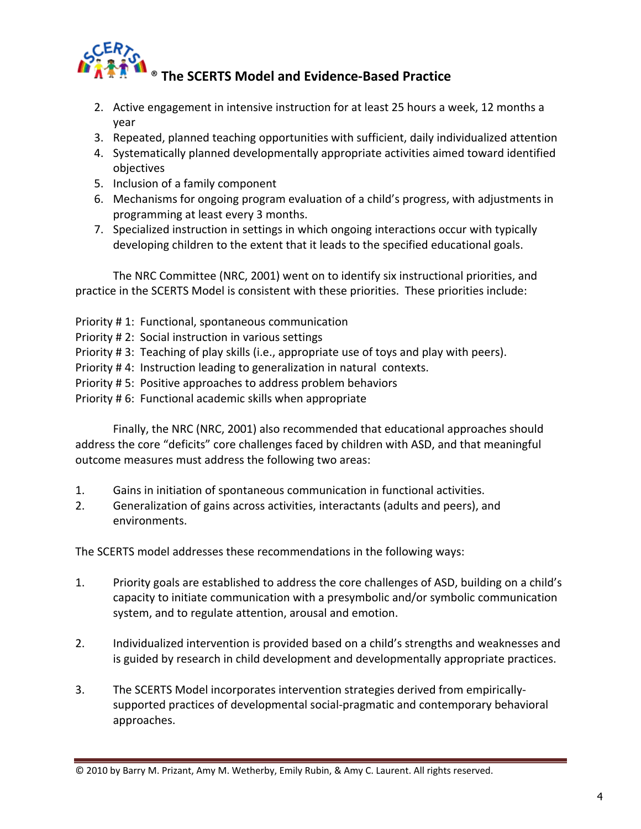

# ® **The SCERTS Model and Evidence‐Based Practice**

- 2. Active engagement in intensive instruction for at least 25 hours a week, 12 months a year
- 3. Repeated, planned teaching opportunities with sufficient, daily individualized attention
- 4. Systematically planned developmentally appropriate activities aimed toward identified objectives
- 5. Inclusion of a family component
- 6. Mechanisms for ongoing program evaluation of a child's progress, with adjustments in programming at least every 3 months.
- 7. Specialized instruction in settings in which ongoing interactions occur with typically developing children to the extent that it leads to the specified educational goals.

The NRC Committee (NRC, 2001) went on to identify six instructional priorities, and practice in the SCERTS Model is consistent with these priorities. These priorities include:

- Priority # 1: Functional, spontaneous communication
- Priority # 2: Social instruction in various settings
- Priority # 3: Teaching of play skills (i.e., appropriate use of toys and play with peers).
- Priority # 4: Instruction leading to generalization in natural contexts.
- Priority # 5: Positive approaches to address problem behaviors
- Priority # 6: Functional academic skills when appropriate

Finally, the NRC (NRC, 2001) also recommended that educational approaches should address the core "deficits" core challenges faced by children with ASD, and that meaningful outcome measures must address the following two areas:

- 1. Gains in initiation of spontaneous communication in functional activities.
- 2. Generalization of gains across activities, interactants (adults and peers), and environments.

The SCERTS model addresses these recommendations in the following ways:

- 1. Priority goals are established to address the core challenges of ASD, building on a child's capacity to initiate communication with a presymbolic and/or symbolic communication system, and to regulate attention, arousal and emotion.
- 2. Individualized intervention is provided based on a child's strengths and weaknesses and is guided by research in child development and developmentally appropriate practices.
- 3. The SCERTS Model incorporates intervention strategies derived from empirically‐ supported practices of developmental social‐pragmatic and contemporary behavioral approaches.

<sup>©</sup> 2010 by Barry M. Prizant, Amy M. Wetherby, Emily Rubin, & Amy C. Laurent. All rights reserved.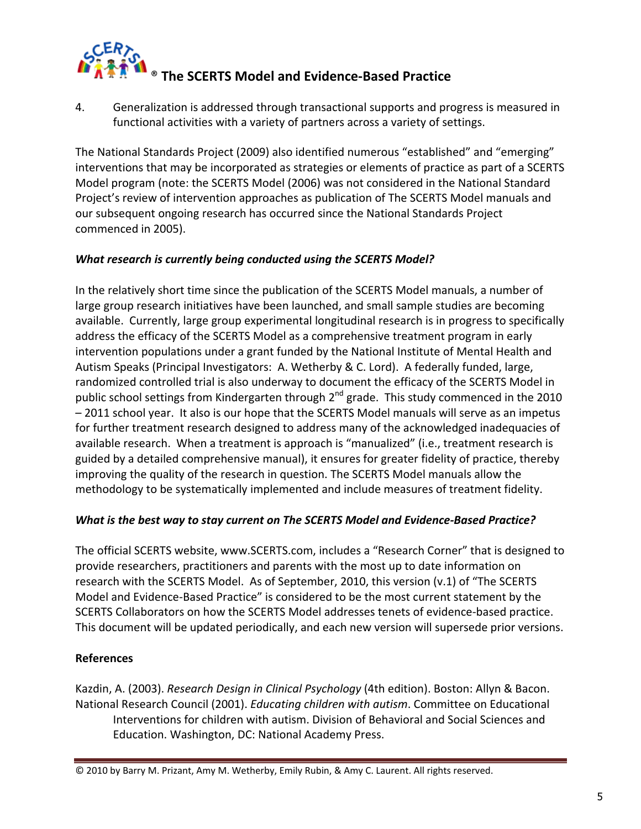

4. Generalization is addressed through transactional supports and progress is measured in functional activities with a variety of partners across a variety of settings.

The National Standards Project (2009) also identified numerous "established" and "emerging" interventions that may be incorporated as strategies or elements of practice as part of a SCERTS Model program (note: the SCERTS Model (2006) was not considered in the National Standard Project's review of intervention approaches as publication of The SCERTS Model manuals and our subsequent ongoing research has occurred since the National Standards Project commenced in 2005).

# *What research is currently being conducted using the SCERTS Model?*

In the relatively short time since the publication of the SCERTS Model manuals, a number of large group research initiatives have been launched, and small sample studies are becoming available. Currently, large group experimental longitudinal research is in progress to specifically address the efficacy of the SCERTS Model as a comprehensive treatment program in early intervention populations under a grant funded by the National Institute of Mental Health and Autism Speaks (Principal Investigators: A. Wetherby & C. Lord). A federally funded, large, randomized controlled trial is also underway to document the efficacy of the SCERTS Model in public school settings from Kindergarten through  $2^{nd}$  grade. This study commenced in the 2010 – 2011 school year. It also is our hope that the SCERTS Model manuals will serve as an impetus for further treatment research designed to address many of the acknowledged inadequacies of available research. When a treatment is approach is "manualized" (i.e., treatment research is guided by a detailed comprehensive manual), it ensures for greater fidelity of practice, thereby improving the quality of the research in question. The SCERTS Model manuals allow the methodology to be systematically implemented and include measures of treatment fidelity.

#### *What is the best way to stay current on The SCERTS Model and Evidence‐Based Practice?*

The official SCERTS website, www.SCERTS.com, includes a "Research Corner" that is designed to provide researchers, practitioners and parents with the most up to date information on research with the SCERTS Model. As of September, 2010, this version (v.1) of "The SCERTS Model and Evidence‐Based Practice" is considered to be the most current statement by the SCERTS Collaborators on how the SCERTS Model addresses tenets of evidence‐based practice. This document will be updated periodically, and each new version will supersede prior versions.

# **References**

Kazdin, A. (2003). *Research Design in Clinical Psychology* (4th edition). Boston: Allyn & Bacon. National Research Council (2001). *Educating children with autism*. Committee on Educational Interventions for children with autism. Division of Behavioral and Social Sciences and Education. Washington, DC: National Academy Press.

<sup>©</sup> 2010 by Barry M. Prizant, Amy M. Wetherby, Emily Rubin, & Amy C. Laurent. All rights reserved.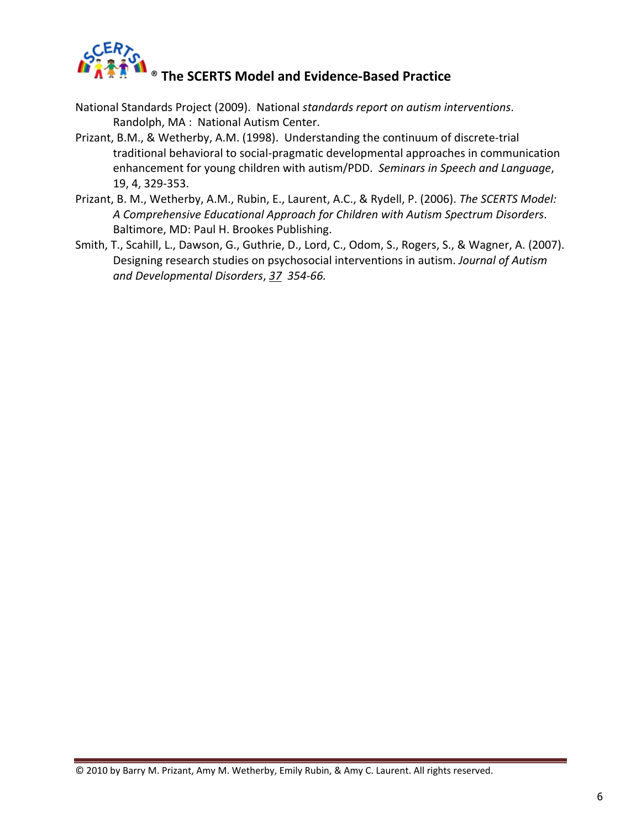

- National Standards Project (2009). National *standards report on autism interventions*. Randolph, MA : National Autism Center.
- Prizant, B.M., & Wetherby, A.M. (1998). Understanding the continuum of discrete‐trial traditional behavioral to social‐pragmatic developmental approaches in communication enhancement for young children with autism/PDD. *Seminars in Speech and Language*, 19, 4, 329‐353.
- Prizant, B. M., Wetherby, A.M., Rubin, E., Laurent, A.C., & Rydell, P. (2006). *The SCERTS Model: A Comprehensive Educational Approach for Children with Autism Spectrum Disorders*. Baltimore, MD: Paul H. Brookes Publishing.
- Smith, T., Scahill, L., Dawson, G., Guthrie, D., Lord, C., Odom, S., Rogers, S., & Wagner, A. (2007). Designing research studies on psychosocial interventions in autism. *Journal of Autism and Developmental Disorders*, *37 354‐66.*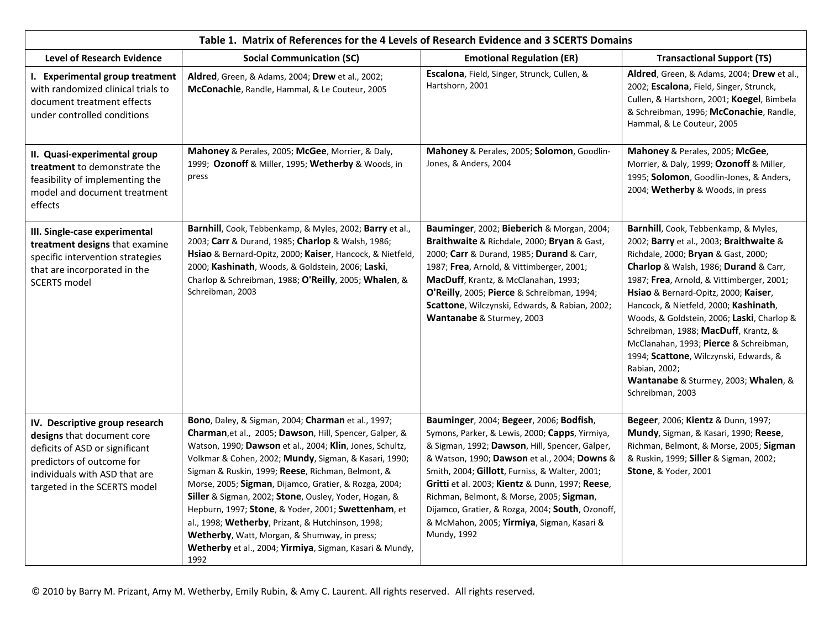| Table 1. Matrix of References for the 4 Levels of Research Evidence and 3 SCERTS Domains                                                                                                     |                                                                                                                                                                                                                                                                                                                                                                                                                                                                                                                                                                                                                                          |                                                                                                                                                                                                                                                                                                                                                                                                                                                               |                                                                                                                                                                                                                                                                                                                                                                                                                                                                                                                                                      |  |
|----------------------------------------------------------------------------------------------------------------------------------------------------------------------------------------------|------------------------------------------------------------------------------------------------------------------------------------------------------------------------------------------------------------------------------------------------------------------------------------------------------------------------------------------------------------------------------------------------------------------------------------------------------------------------------------------------------------------------------------------------------------------------------------------------------------------------------------------|---------------------------------------------------------------------------------------------------------------------------------------------------------------------------------------------------------------------------------------------------------------------------------------------------------------------------------------------------------------------------------------------------------------------------------------------------------------|------------------------------------------------------------------------------------------------------------------------------------------------------------------------------------------------------------------------------------------------------------------------------------------------------------------------------------------------------------------------------------------------------------------------------------------------------------------------------------------------------------------------------------------------------|--|
| <b>Level of Research Evidence</b>                                                                                                                                                            | <b>Social Communication (SC)</b>                                                                                                                                                                                                                                                                                                                                                                                                                                                                                                                                                                                                         | <b>Emotional Regulation (ER)</b>                                                                                                                                                                                                                                                                                                                                                                                                                              | <b>Transactional Support (TS)</b>                                                                                                                                                                                                                                                                                                                                                                                                                                                                                                                    |  |
| I. Experimental group treatment<br>with randomized clinical trials to<br>document treatment effects<br>under controlled conditions                                                           | <b>Aldred</b> , Green, & Adams, 2004; Drew et al., 2002;<br>McConachie, Randle, Hammal, & Le Couteur, 2005                                                                                                                                                                                                                                                                                                                                                                                                                                                                                                                               | Escalona, Field, Singer, Strunck, Cullen, &<br>Hartshorn, 2001                                                                                                                                                                                                                                                                                                                                                                                                | Aldred, Green, & Adams, 2004; Drew et al.,<br>2002; Escalona, Field, Singer, Strunck,<br>Cullen, & Hartshorn, 2001; Koegel, Bimbela<br>& Schreibman, 1996; McConachie, Randle,<br>Hammal, & Le Couteur, 2005                                                                                                                                                                                                                                                                                                                                         |  |
| II. Quasi-experimental group<br>treatment to demonstrate the<br>feasibility of implementing the<br>model and document treatment<br>effects                                                   | Mahoney & Perales, 2005; McGee, Morrier, & Daly,<br>1999; Ozonoff & Miller, 1995; Wetherby & Woods, in<br>press                                                                                                                                                                                                                                                                                                                                                                                                                                                                                                                          | Mahoney & Perales, 2005; Solomon, Goodlin-<br>Jones, & Anders, 2004                                                                                                                                                                                                                                                                                                                                                                                           | Mahoney & Perales, 2005; McGee,<br>Morrier, & Daly, 1999; Ozonoff & Miller,<br>1995; Solomon, Goodlin-Jones, & Anders,<br>2004; Wetherby & Woods, in press                                                                                                                                                                                                                                                                                                                                                                                           |  |
| III. Single-case experimental<br>treatment designs that examine<br>specific intervention strategies<br>that are incorporated in the<br><b>SCERTS model</b>                                   | Barnhill, Cook, Tebbenkamp, & Myles, 2002; Barry et al.,<br>2003; Carr & Durand, 1985; Charlop & Walsh, 1986;<br>Hsiao & Bernard-Opitz, 2000; Kaiser, Hancock, & Nietfeld,<br>2000; Kashinath, Woods, & Goldstein, 2006; Laski,<br>Charlop & Schreibman, 1988; O'Reilly, 2005; Whalen, &<br>Schreibman, 2003                                                                                                                                                                                                                                                                                                                             | Bauminger, 2002; Bieberich & Morgan, 2004;<br>Braithwaite & Richdale, 2000; Bryan & Gast,<br>2000; Carr & Durand, 1985; Durand & Carr,<br>1987; Frea, Arnold, & Vittimberger, 2001;<br>MacDuff, Krantz, & McClanahan, 1993;<br>O'Reilly, 2005; Pierce & Schreibman, 1994;<br>Scattone, Wilczynski, Edwards, & Rabian, 2002;<br>Wantanabe & Sturmey, 2003                                                                                                      | Barnhill, Cook, Tebbenkamp, & Myles,<br>2002; Barry et al., 2003; Braithwaite &<br>Richdale, 2000; Bryan & Gast, 2000;<br>Charlop & Walsh, 1986; Durand & Carr,<br>1987; Frea, Arnold, & Vittimberger, 2001;<br>Hsiao & Bernard-Opitz, 2000; Kaiser,<br>Hancock, & Nietfeld, 2000; Kashinath,<br>Woods, & Goldstein, 2006; Laski, Charlop &<br>Schreibman, 1988; MacDuff, Krantz, &<br>McClanahan, 1993; Pierce & Schreibman,<br>1994; Scattone, Wilczynski, Edwards, &<br>Rabian, 2002;<br>Wantanabe & Sturmey, 2003; Whalen, &<br>Schreibman, 2003 |  |
| IV. Descriptive group research<br>designs that document core<br>deficits of ASD or significant<br>predictors of outcome for<br>individuals with ASD that are<br>targeted in the SCERTS model | Bono, Daley, & Sigman, 2004; Charman et al., 1997;<br>Charman, et al., 2005; Dawson, Hill, Spencer, Galper, &<br>Watson, 1990; Dawson et al., 2004; Klin, Jones, Schultz,<br>Volkmar & Cohen, 2002; Mundy, Sigman, & Kasari, 1990;<br>Sigman & Ruskin, 1999; Reese, Richman, Belmont, &<br>Morse, 2005; Sigman, Dijamco, Gratier, & Rozga, 2004;<br>Siller & Sigman, 2002; Stone, Ousley, Yoder, Hogan, &<br>Hepburn, 1997; Stone, & Yoder, 2001; Swettenham, et<br>al., 1998; Wetherby, Prizant, & Hutchinson, 1998;<br>Wetherby, Watt, Morgan, & Shumway, in press;<br>Wetherby et al., 2004; Yirmiya, Sigman, Kasari & Mundy,<br>1992 | Bauminger, 2004; Begeer, 2006; Bodfish,<br>Symons, Parker, & Lewis, 2000; Capps, Yirmiya,<br>& Sigman, 1992; Dawson, Hill, Spencer, Galper,<br>& Watson, 1990; Dawson et al., 2004; Downs &<br>Smith, 2004; Gillott, Furniss, & Walter, 2001;<br>Gritti et al. 2003; Kientz & Dunn, 1997; Reese,<br>Richman, Belmont, & Morse, 2005; Sigman,<br>Dijamco, Gratier, & Rozga, 2004; South, Ozonoff,<br>& McMahon, 2005; Yirmiya, Sigman, Kasari &<br>Mundy, 1992 | <b>Begeer, 2006; Kientz &amp; Dunn, 1997;</b><br>Mundy, Sigman, & Kasari, 1990; Reese,<br>Richman, Belmont, & Morse, 2005; Sigman<br>& Ruskin, 1999; Siller & Sigman, 2002;<br><b>Stone, &amp; Yoder, 2001</b>                                                                                                                                                                                                                                                                                                                                       |  |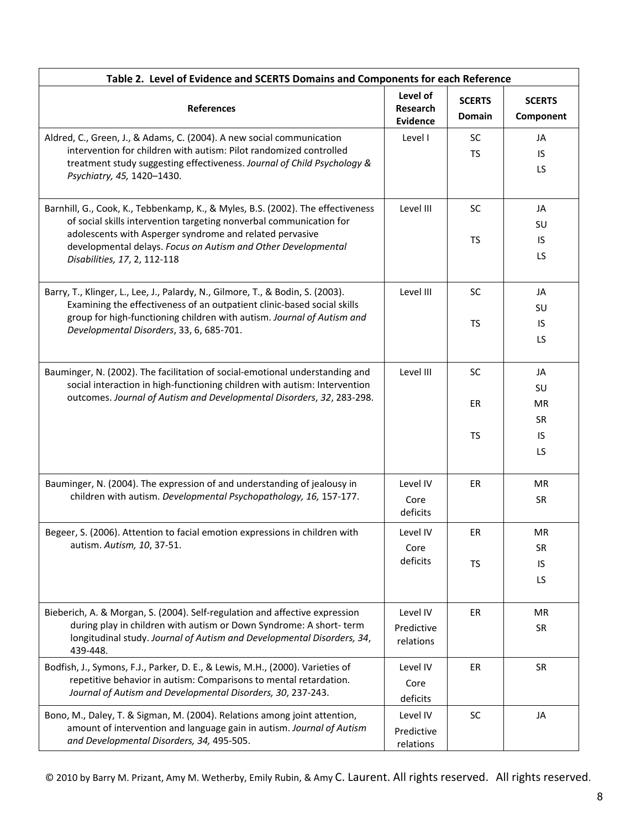| Table 2. Level of Evidence and SCERTS Domains and Components for each Reference                                                                                                                                                                                                                                     |                                                |                                |                                         |
|---------------------------------------------------------------------------------------------------------------------------------------------------------------------------------------------------------------------------------------------------------------------------------------------------------------------|------------------------------------------------|--------------------------------|-----------------------------------------|
| <b>References</b>                                                                                                                                                                                                                                                                                                   | Level of<br><b>Research</b><br><b>Evidence</b> | <b>SCERTS</b><br><b>Domain</b> | <b>SCERTS</b><br>Component              |
| Aldred, C., Green, J., & Adams, C. (2004). A new social communication<br>intervention for children with autism: Pilot randomized controlled<br>treatment study suggesting effectiveness. Journal of Child Psychology &<br>Psychiatry, 45, 1420-1430.                                                                | Level I                                        | <b>SC</b><br><b>TS</b>         | JA<br>IS<br>LS                          |
| Barnhill, G., Cook, K., Tebbenkamp, K., & Myles, B.S. (2002). The effectiveness<br>of social skills intervention targeting nonverbal communication for<br>adolescents with Asperger syndrome and related pervasive<br>developmental delays. Focus on Autism and Other Developmental<br>Disabilities, 17, 2, 112-118 | Level III                                      | SC<br><b>TS</b>                | JA<br>SU<br>IS<br>LS                    |
| Barry, T., Klinger, L., Lee, J., Palardy, N., Gilmore, T., & Bodin, S. (2003).<br>Examining the effectiveness of an outpatient clinic-based social skills<br>group for high-functioning children with autism. Journal of Autism and<br>Developmental Disorders, 33, 6, 685-701.                                     | Level III                                      | SC<br><b>TS</b>                | JA<br>SU<br>IS<br>LS.                   |
| Bauminger, N. (2002). The facilitation of social-emotional understanding and<br>social interaction in high-functioning children with autism: Intervention<br>outcomes. Journal of Autism and Developmental Disorders, 32, 283-298.                                                                                  | Level III                                      | SC<br>ER<br><b>TS</b>          | JA<br>SU<br>MR<br><b>SR</b><br>IS<br>LS |
| Bauminger, N. (2004). The expression of and understanding of jealousy in<br>children with autism. Developmental Psychopathology, 16, 157-177.                                                                                                                                                                       | Level IV<br>Core<br>deficits                   | ER                             | <b>MR</b><br><b>SR</b>                  |
| Begeer, S. (2006). Attention to facial emotion expressions in children with<br>autism. Autism, 10, 37-51.                                                                                                                                                                                                           | Level IV<br>Core<br>deficits                   | ER<br><b>TS</b>                | MR<br><b>SR</b><br>IS<br>LS             |
| Bieberich, A. & Morgan, S. (2004). Self-regulation and affective expression<br>during play in children with autism or Down Syndrome: A short-term<br>longitudinal study. Journal of Autism and Developmental Disorders, 34,<br>439-448.                                                                             | Level IV<br>Predictive<br>relations            | ER                             | <b>MR</b><br>SR                         |
| Bodfish, J., Symons, F.J., Parker, D. E., & Lewis, M.H., (2000). Varieties of<br>repetitive behavior in autism: Comparisons to mental retardation.<br>Journal of Autism and Developmental Disorders, 30, 237-243.                                                                                                   | Level IV<br>Core<br>deficits                   | ER                             | <b>SR</b>                               |
| Bono, M., Daley, T. & Sigman, M. (2004). Relations among joint attention,<br>amount of intervention and language gain in autism. Journal of Autism<br>and Developmental Disorders, 34, 495-505.                                                                                                                     | Level IV<br>Predictive<br>relations            | <b>SC</b>                      | JA                                      |

© 2010 by Barry M. Prizant, Amy M. Wetherby, Emily Rubin, & Amy C. Laurent. All rights reserved. All rights reserved.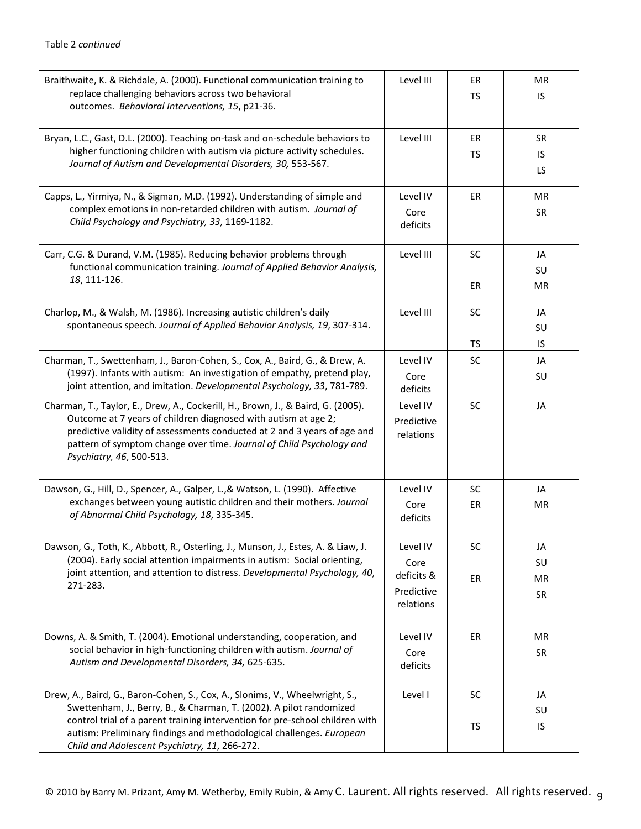| Braithwaite, K. & Richdale, A. (2000). Functional communication training to<br>replace challenging behaviors across two behavioral<br>outcomes. Behavioral Interventions, 15, p21-36.                                                                                                                                                                        | Level III                                                 | ER<br>TS               | <b>MR</b><br>IS.              |
|--------------------------------------------------------------------------------------------------------------------------------------------------------------------------------------------------------------------------------------------------------------------------------------------------------------------------------------------------------------|-----------------------------------------------------------|------------------------|-------------------------------|
| Bryan, L.C., Gast, D.L. (2000). Teaching on-task and on-schedule behaviors to<br>higher functioning children with autism via picture activity schedules.<br>Journal of Autism and Developmental Disorders, 30, 553-567.                                                                                                                                      | Level III                                                 | ER<br>TS               | <b>SR</b><br>IS.<br><b>LS</b> |
| Capps, L., Yirmiya, N., & Sigman, M.D. (1992). Understanding of simple and<br>complex emotions in non-retarded children with autism. Journal of<br>Child Psychology and Psychiatry, 33, 1169-1182.                                                                                                                                                           | Level IV<br>Core<br>deficits                              | ER                     | MR<br><b>SR</b>               |
| Carr, C.G. & Durand, V.M. (1985). Reducing behavior problems through<br>functional communication training. Journal of Applied Behavior Analysis,<br>18, 111-126.                                                                                                                                                                                             | Level III                                                 | <b>SC</b><br>ER        | JA<br>SU<br>MR                |
| Charlop, M., & Walsh, M. (1986). Increasing autistic children's daily<br>spontaneous speech. Journal of Applied Behavior Analysis, 19, 307-314.                                                                                                                                                                                                              | Level III                                                 | <b>SC</b><br>TS        | JA<br>SU<br>IS.               |
| Charman, T., Swettenham, J., Baron-Cohen, S., Cox, A., Baird, G., & Drew, A.<br>(1997). Infants with autism: An investigation of empathy, pretend play,<br>joint attention, and imitation. Developmental Psychology, 33, 781-789.                                                                                                                            | Level IV<br>Core<br>deficits                              | <b>SC</b>              | JA<br>SU                      |
| Charman, T., Taylor, E., Drew, A., Cockerill, H., Brown, J., & Baird, G. (2005).<br>Outcome at 7 years of children diagnosed with autism at age 2;<br>predictive validity of assessments conducted at 2 and 3 years of age and<br>pattern of symptom change over time. Journal of Child Psychology and<br>Psychiatry, 46, 500-513.                           | Level IV<br>Predictive<br>relations                       | SC                     | JA                            |
| Dawson, G., Hill, D., Spencer, A., Galper, L., & Watson, L. (1990). Affective<br>exchanges between young autistic children and their mothers. Journal<br>of Abnormal Child Psychology, 18, 335-345.                                                                                                                                                          | Level IV<br>Core<br>deficits                              | <b>SC</b><br><b>ER</b> | JA<br><b>MR</b>               |
| Dawson, G., Toth, K., Abbott, R., Osterling, J., Munson, J., Estes, A. & Liaw, J.<br>(2004). Early social attention impairments in autism: Social orienting,<br>joint attention, and attention to distress. Developmental Psychology, 40,<br>271-283.                                                                                                        | Level IV<br>Core<br>deficits &<br>Predictive<br>relations | SC<br>ER               | JA<br>SU<br>MR<br>SR          |
| Downs, A. & Smith, T. (2004). Emotional understanding, cooperation, and<br>social behavior in high-functioning children with autism. Journal of<br>Autism and Developmental Disorders, 34, 625-635.                                                                                                                                                          | Level IV<br>Core<br>deficits                              | ER                     | MR<br>SR                      |
| Drew, A., Baird, G., Baron-Cohen, S., Cox, A., Slonims, V., Wheelwright, S.,<br>Swettenham, J., Berry, B., & Charman, T. (2002). A pilot randomized<br>control trial of a parent training intervention for pre-school children with<br>autism: Preliminary findings and methodological challenges. European<br>Child and Adolescent Psychiatry, 11, 266-272. | Level I                                                   | SC<br>TS               | JA<br>SU<br>IS                |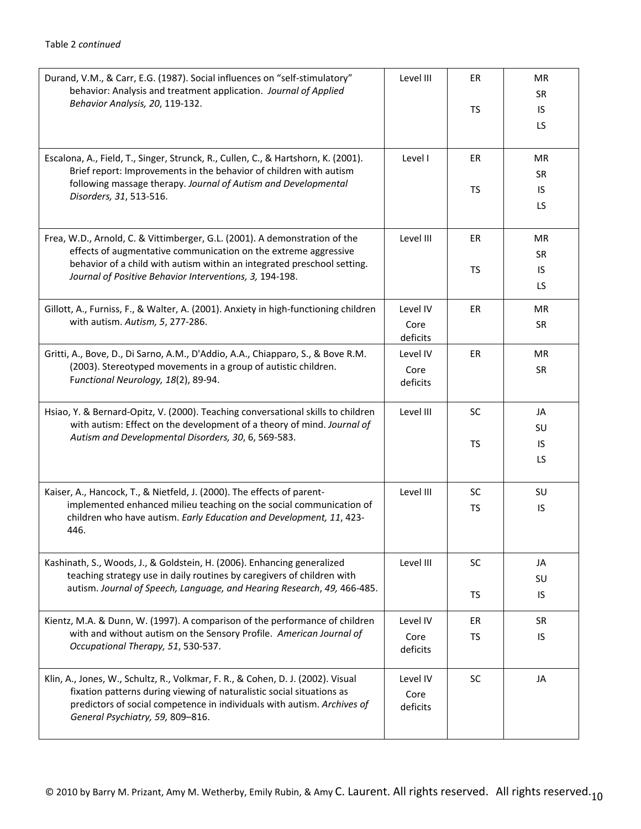| Durand, V.M., & Carr, E.G. (1987). Social influences on "self-stimulatory"<br>behavior: Analysis and treatment application. Journal of Applied<br>Behavior Analysis, 20, 119-132.                                                                                                   | Level III                    | ER<br>TS        | MR<br><b>SR</b><br>IS<br><b>LS</b> |
|-------------------------------------------------------------------------------------------------------------------------------------------------------------------------------------------------------------------------------------------------------------------------------------|------------------------------|-----------------|------------------------------------|
| Escalona, A., Field, T., Singer, Strunck, R., Cullen, C., & Hartshorn, K. (2001).<br>Brief report: Improvements in the behavior of children with autism<br>following massage therapy. Journal of Autism and Developmental<br>Disorders, 31, 513-516.                                | Level I                      | ER<br>TS        | MR<br><b>SR</b><br>IS<br>LS.       |
| Frea, W.D., Arnold, C. & Vittimberger, G.L. (2001). A demonstration of the<br>effects of augmentative communication on the extreme aggressive<br>behavior of a child with autism within an integrated preschool setting.<br>Journal of Positive Behavior Interventions, 3, 194-198. | Level III                    | ER<br>TS        | MR<br><b>SR</b><br>IS.<br>LS.      |
| Gillott, A., Furniss, F., & Walter, A. (2001). Anxiety in high-functioning children<br>with autism. Autism, 5, 277-286.                                                                                                                                                             | Level IV<br>Core<br>deficits | <b>ER</b>       | <b>MR</b><br><b>SR</b>             |
| Gritti, A., Bove, D., Di Sarno, A.M., D'Addio, A.A., Chiapparo, S., & Bove R.M.<br>(2003). Stereotyped movements in a group of autistic children.<br>Functional Neurology, 18(2), 89-94.                                                                                            | Level IV<br>Core<br>deficits | ER              | <b>MR</b><br><b>SR</b>             |
| Hsiao, Y. & Bernard-Opitz, V. (2000). Teaching conversational skills to children<br>with autism: Effect on the development of a theory of mind. Journal of<br>Autism and Developmental Disorders, 30, 6, 569-583.                                                                   | Level III                    | <b>SC</b><br>TS | JA<br><b>SU</b><br>IS<br>LS        |
| Kaiser, A., Hancock, T., & Nietfeld, J. (2000). The effects of parent-<br>implemented enhanced milieu teaching on the social communication of<br>children who have autism. Early Education and Development, 11, 423-<br>446.                                                        | Level III                    | SC<br>TS        | SU<br>IS                           |
| Kashinath, S., Woods, J., & Goldstein, H. (2006). Enhancing generalized<br>teaching strategy use in daily routines by caregivers of children with<br>autism. Journal of Speech, Language, and Hearing Research, 49, 466-485.                                                        | Level III                    | SC<br>TS        | JA<br>SU<br>IS.                    |
| Kientz, M.A. & Dunn, W. (1997). A comparison of the performance of children<br>with and without autism on the Sensory Profile. American Journal of<br>Occupational Therapy, 51, 530-537.                                                                                            | Level IV<br>Core<br>deficits | ER<br>TS        | <b>SR</b><br>IS                    |
| Klin, A., Jones, W., Schultz, R., Volkmar, F. R., & Cohen, D. J. (2002). Visual<br>fixation patterns during viewing of naturalistic social situations as<br>predictors of social competence in individuals with autism. Archives of<br>General Psychiatry, 59, 809-816.             | Level IV<br>Core<br>deficits | SC              | JA                                 |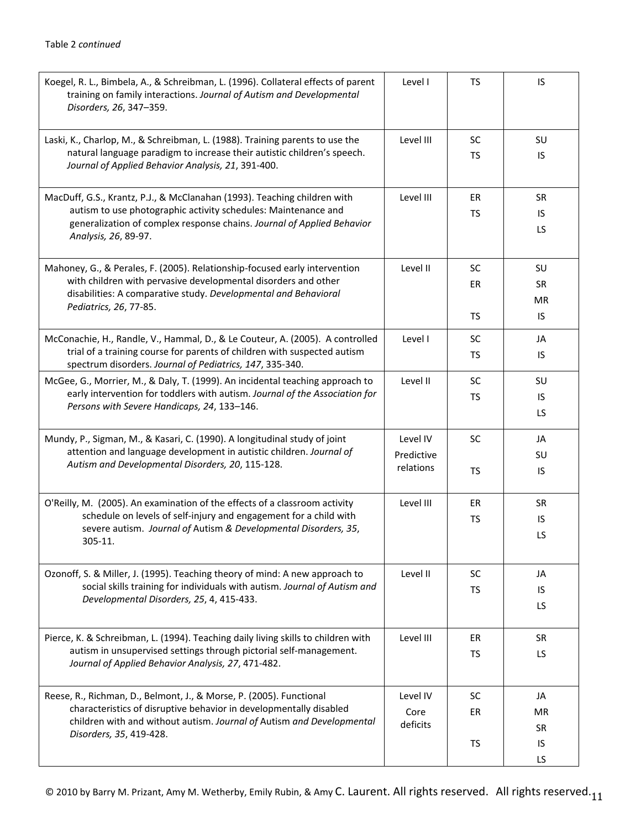| Koegel, R. L., Bimbela, A., & Schreibman, L. (1996). Collateral effects of parent<br>training on family interactions. Journal of Autism and Developmental<br>Disorders, 26, 347-359.                                                          | Level I                             | TS                    | IS                                 |
|-----------------------------------------------------------------------------------------------------------------------------------------------------------------------------------------------------------------------------------------------|-------------------------------------|-----------------------|------------------------------------|
| Laski, K., Charlop, M., & Schreibman, L. (1988). Training parents to use the<br>natural language paradigm to increase their autistic children's speech.<br>Journal of Applied Behavior Analysis, 21, 391-400.                                 | Level III                           | <b>SC</b><br>TS       | SU<br>IS                           |
| MacDuff, G.S., Krantz, P.J., & McClanahan (1993). Teaching children with<br>autism to use photographic activity schedules: Maintenance and<br>generalization of complex response chains. Journal of Applied Behavior<br>Analysis, 26, 89-97.  | Level III                           | ER<br>TS              | <b>SR</b><br>IS<br>LS.             |
| Mahoney, G., & Perales, F. (2005). Relationship-focused early intervention<br>with children with pervasive developmental disorders and other<br>disabilities: A comparative study. Developmental and Behavioral<br>Pediatrics, 26, 77-85.     | Level II                            | <b>SC</b><br>ER<br>TS | SU<br><b>SR</b><br>MR<br>IS        |
| McConachie, H., Randle, V., Hammal, D., & Le Couteur, A. (2005). A controlled<br>trial of a training course for parents of children with suspected autism<br>spectrum disorders. Journal of Pediatrics, 147, 335-340.                         | Level I                             | <b>SC</b><br>TS       | JA<br>IS                           |
| McGee, G., Morrier, M., & Daly, T. (1999). An incidental teaching approach to<br>early intervention for toddlers with autism. Journal of the Association for<br>Persons with Severe Handicaps, 24, 133-146.                                   | Level II                            | <b>SC</b><br>TS       | SU<br>IS<br>LS                     |
| Mundy, P., Sigman, M., & Kasari, C. (1990). A longitudinal study of joint<br>attention and language development in autistic children. Journal of<br>Autism and Developmental Disorders, 20, 115-128.                                          | Level IV<br>Predictive<br>relations | <b>SC</b><br>TS       | JA<br>SU<br>IS.                    |
| O'Reilly, M. (2005). An examination of the effects of a classroom activity<br>schedule on levels of self-injury and engagement for a child with<br>severe autism. Journal of Autism & Developmental Disorders, 35,<br>305-11.                 | Level III                           | ER<br>TS              | <b>SR</b><br>IS<br>LS              |
| Ozonoff, S. & Miller, J. (1995). Teaching theory of mind: A new approach to<br>social skills training for individuals with autism. Journal of Autism and<br>Developmental Disorders, 25, 4, 415-433.                                          | Level II                            | <b>SC</b><br>TS       | JA<br>IS<br>LS.                    |
| Pierce, K. & Schreibman, L. (1994). Teaching daily living skills to children with<br>autism in unsupervised settings through pictorial self-management.<br>Journal of Applied Behavior Analysis, 27, 471-482.                                 | Level III                           | ER<br>TS              | <b>SR</b><br>LS.                   |
| Reese, R., Richman, D., Belmont, J., & Morse, P. (2005). Functional<br>characteristics of disruptive behavior in developmentally disabled<br>children with and without autism. Journal of Autism and Developmental<br>Disorders, 35, 419-428. | Level IV<br>Core<br>deficits        | <b>SC</b><br>ER<br>TS | JA<br><b>MR</b><br><b>SR</b><br>IS |
|                                                                                                                                                                                                                                               |                                     |                       | LS                                 |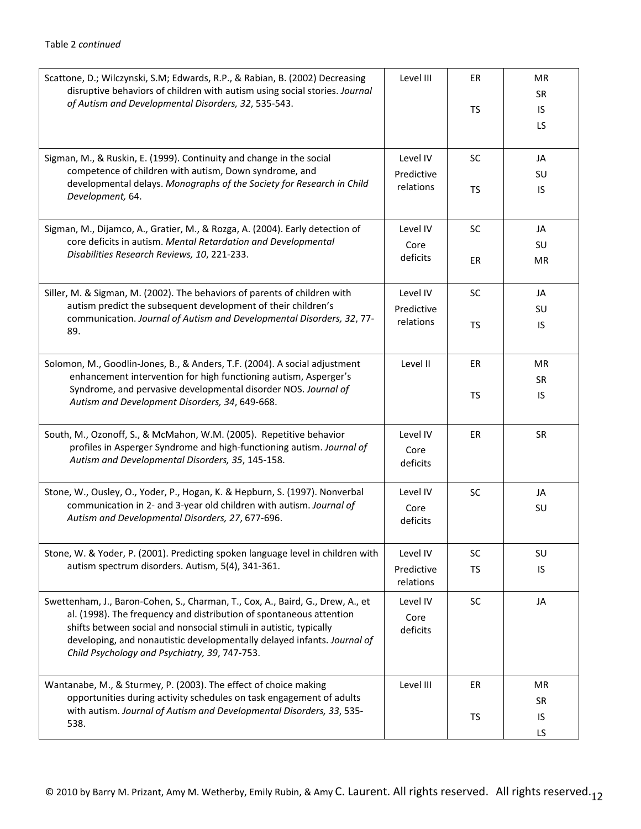| Scattone, D.; Wilczynski, S.M; Edwards, R.P., & Rabian, B. (2002) Decreasing<br>disruptive behaviors of children with autism using social stories. Journal<br>of Autism and Developmental Disorders, 32, 535-543.                                                                                                                                       | Level III                           | ER<br>TS        | MR<br>SR<br>IS.<br><b>LS</b> |
|---------------------------------------------------------------------------------------------------------------------------------------------------------------------------------------------------------------------------------------------------------------------------------------------------------------------------------------------------------|-------------------------------------|-----------------|------------------------------|
| Sigman, M., & Ruskin, E. (1999). Continuity and change in the social<br>competence of children with autism, Down syndrome, and<br>developmental delays. Monographs of the Society for Research in Child<br>Development, 64.                                                                                                                             | Level IV<br>Predictive<br>relations | <b>SC</b><br>TS | JA<br>SU<br>IS.              |
| Sigman, M., Dijamco, A., Gratier, M., & Rozga, A. (2004). Early detection of<br>core deficits in autism. Mental Retardation and Developmental<br>Disabilities Research Reviews, 10, 221-233.                                                                                                                                                            | Level IV<br>Core<br>deficits        | SC<br>ER        | JA<br>SU<br>MR.              |
| Siller, M. & Sigman, M. (2002). The behaviors of parents of children with<br>autism predict the subsequent development of their children's<br>communication. Journal of Autism and Developmental Disorders, 32, 77-<br>89.                                                                                                                              | Level IV<br>Predictive<br>relations | SC<br>TS        | JA<br>SU<br>IS               |
| Solomon, M., Goodlin-Jones, B., & Anders, T.F. (2004). A social adjustment<br>enhancement intervention for high functioning autism, Asperger's<br>Syndrome, and pervasive developmental disorder NOS. Journal of<br>Autism and Development Disorders, 34, 649-668.                                                                                      | Level II                            | ER<br>TS        | MR<br><b>SR</b><br>IS.       |
| South, M., Ozonoff, S., & McMahon, W.M. (2005). Repetitive behavior<br>profiles in Asperger Syndrome and high-functioning autism. Journal of<br>Autism and Developmental Disorders, 35, 145-158.                                                                                                                                                        | Level IV<br>Core<br>deficits        | <b>ER</b>       | <b>SR</b>                    |
| Stone, W., Ousley, O., Yoder, P., Hogan, K. & Hepburn, S. (1997). Nonverbal<br>communication in 2- and 3-year old children with autism. Journal of<br>Autism and Developmental Disorders, 27, 677-696.                                                                                                                                                  | Level IV<br>Core<br>deficits        | SC              | JA<br>SU                     |
| Stone, W. & Yoder, P. (2001). Predicting spoken language level in children with<br>autism spectrum disorders. Autism, 5(4), 341-361.                                                                                                                                                                                                                    | Level IV<br>Predictive<br>relations | SC<br>TS        | SU<br>IS                     |
| Swettenham, J., Baron-Cohen, S., Charman, T., Cox, A., Baird, G., Drew, A., et<br>al. (1998). The frequency and distribution of spontaneous attention<br>shifts between social and nonsocial stimuli in autistic, typically<br>developing, and nonautistic developmentally delayed infants. Journal of<br>Child Psychology and Psychiatry, 39, 747-753. | Level IV<br>Core<br>deficits        | SC              | JA                           |
| Wantanabe, M., & Sturmey, P. (2003). The effect of choice making<br>opportunities during activity schedules on task engagement of adults<br>with autism. Journal of Autism and Developmental Disorders, 33, 535-<br>538.                                                                                                                                | Level III                           | ER<br>TS        | MR<br><b>SR</b><br>IS<br>LS  |